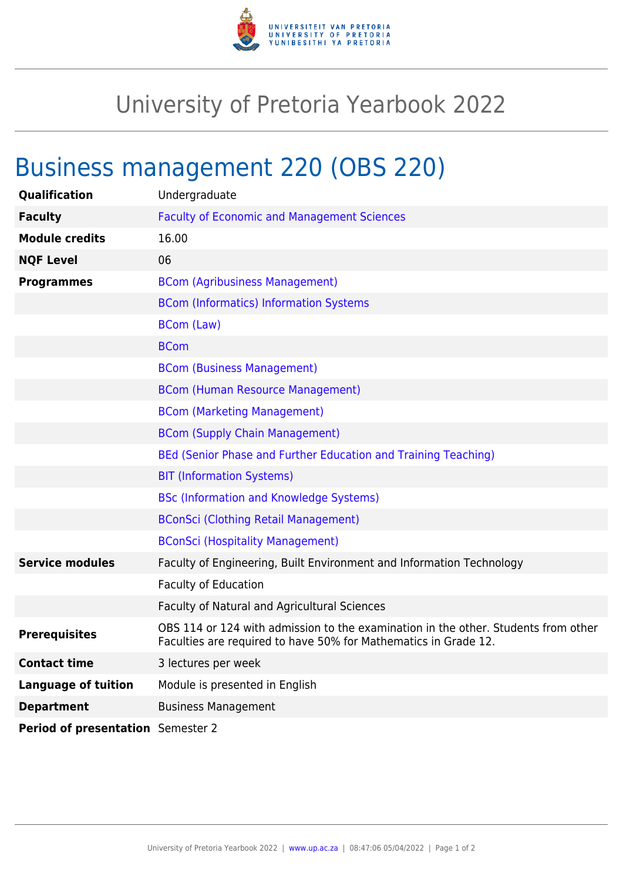

## University of Pretoria Yearbook 2022

## Business management 220 (OBS 220)

| <b>Qualification</b>              | Undergraduate                                                                                                                                         |
|-----------------------------------|-------------------------------------------------------------------------------------------------------------------------------------------------------|
| <b>Faculty</b>                    | <b>Faculty of Economic and Management Sciences</b>                                                                                                    |
| <b>Module credits</b>             | 16.00                                                                                                                                                 |
| <b>NQF Level</b>                  | 06                                                                                                                                                    |
| <b>Programmes</b>                 | <b>BCom (Agribusiness Management)</b>                                                                                                                 |
|                                   | <b>BCom (Informatics) Information Systems</b>                                                                                                         |
|                                   | <b>BCom (Law)</b>                                                                                                                                     |
|                                   | <b>BCom</b>                                                                                                                                           |
|                                   | <b>BCom (Business Management)</b>                                                                                                                     |
|                                   | <b>BCom (Human Resource Management)</b>                                                                                                               |
|                                   | <b>BCom (Marketing Management)</b>                                                                                                                    |
|                                   | <b>BCom (Supply Chain Management)</b>                                                                                                                 |
|                                   | BEd (Senior Phase and Further Education and Training Teaching)                                                                                        |
|                                   | <b>BIT (Information Systems)</b>                                                                                                                      |
|                                   | <b>BSc (Information and Knowledge Systems)</b>                                                                                                        |
|                                   | <b>BConSci (Clothing Retail Management)</b>                                                                                                           |
|                                   | <b>BConSci (Hospitality Management)</b>                                                                                                               |
| <b>Service modules</b>            | Faculty of Engineering, Built Environment and Information Technology                                                                                  |
|                                   | <b>Faculty of Education</b>                                                                                                                           |
|                                   | Faculty of Natural and Agricultural Sciences                                                                                                          |
| <b>Prerequisites</b>              | OBS 114 or 124 with admission to the examination in the other. Students from other<br>Faculties are required to have 50% for Mathematics in Grade 12. |
| <b>Contact time</b>               | 3 lectures per week                                                                                                                                   |
| <b>Language of tuition</b>        | Module is presented in English                                                                                                                        |
| <b>Department</b>                 | <b>Business Management</b>                                                                                                                            |
| Period of presentation Semester 2 |                                                                                                                                                       |